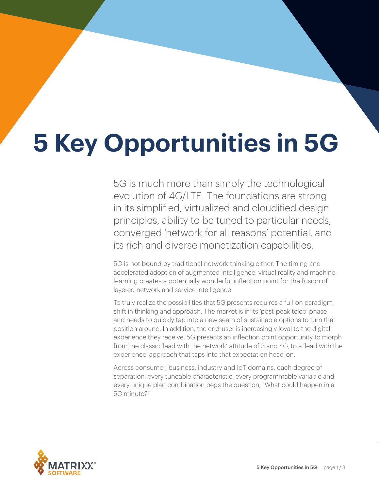# **5 Key Opportunities in 5G**

5G is much more than simply the technological evolution of 4G/LTE. The foundations are strong in its simplified, virtualized and cloudified design principles, ability to be tuned to particular needs, converged 'network for all reasons' potential, and its rich and diverse monetization capabilities.

5G is not bound by traditional network thinking either. The timing and accelerated adoption of augmented intelligence, virtual reality and machine learning creates a potentially wonderful inflection point for the fusion of layered network and service intelligence.

To truly realize the possibilities that 5G presents requires a full-on paradigm shift in thinking and approach. The market is in its 'post-peak telco' phase and needs to quickly tap into a new seam of sustainable options to turn that position around. In addition, the end-user is increasingly loyal to the digital experience they receive. 5G presents an inflection point opportunity to morph from the classic 'lead with the network' attitude of 3 and 4G, to a 'lead with the experience' approach that taps into that expectation head-on.

Across consumer, business, industry and IoT domains, each degree of separation, every tuneable characteristic, every programmable variable and every unique plan combination begs the question, "What could happen in a 5G minute?"

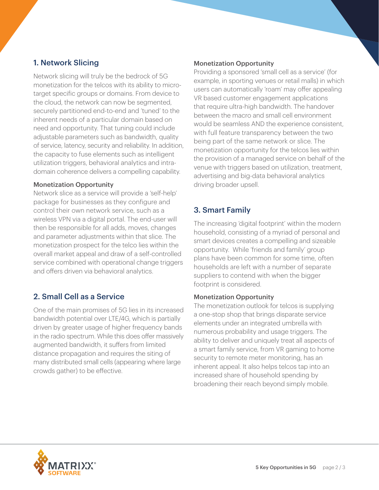## 1. Network Slicing

Network slicing will truly be the bedrock of 5G monetization for the telcos with its ability to microtarget specific groups or domains. From device to the cloud, the network can now be segmented, securely partitioned end-to-end and 'tuned' to the inherent needs of a particular domain based on need and opportunity. That tuning could include adjustable parameters such as bandwidth, quality of service, latency, security and reliability. In addition, the capacity to fuse elements such as intelligent utilization triggers, behavioral analytics and intradomain coherence delivers a compelling capability.

#### Monetization Opportunity

Network slice as a service will provide a 'self-help' package for businesses as they configure and control their own network service, such as a wireless VPN via a digital portal. The end-user will then be responsible for all adds, moves, changes and parameter adjustments within that slice. The monetization prospect for the telco lies within the overall market appeal and draw of a self-controlled service combined with operational change triggers and offers driven via behavioral analytics.

### 2. Small Cell as a Service

One of the main promises of 5G lies in its increased bandwidth potential over LTE/4G, which is partially driven by greater usage of higher frequency bands in the radio spectrum. While this does offer massively augmented bandwidth, it suffers from limited distance propagation and requires the siting of many distributed small cells (appearing where large crowds gather) to be effective.

#### Monetization Opportunity

Providing a sponsored 'small cell as a service' (for example, in sporting venues or retail malls) in which users can automatically 'roam' may offer appealing VR based customer engagement applications that require ultra-high bandwidth. The handover between the macro and small cell environment would be seamless AND the experience consistent, with full feature transparency between the two being part of the same network or slice. The monetization opportunity for the telcos lies within the provision of a managed service on behalf of the venue with triggers based on utilization, treatment, advertising and big-data behavioral analytics driving broader upsell.

## 3. Smart Family

The increasing 'digital footprint' within the modern household, consisting of a myriad of personal and smart devices creates a compelling and sizeable opportunity. While 'friends and family' group plans have been common for some time, often households are left with a number of separate suppliers to contend with when the bigger footprint is considered.

#### Monetization Opportunity

The monetization outlook for telcos is supplying a one-stop shop that brings disparate service elements under an integrated umbrella with numerous probability and usage triggers. The ability to deliver and uniquely treat all aspects of a smart family service, from VR gaming to home security to remote meter monitoring, has an inherent appeal. It also helps telcos tap into an increased share of household spending by broadening their reach beyond simply mobile.